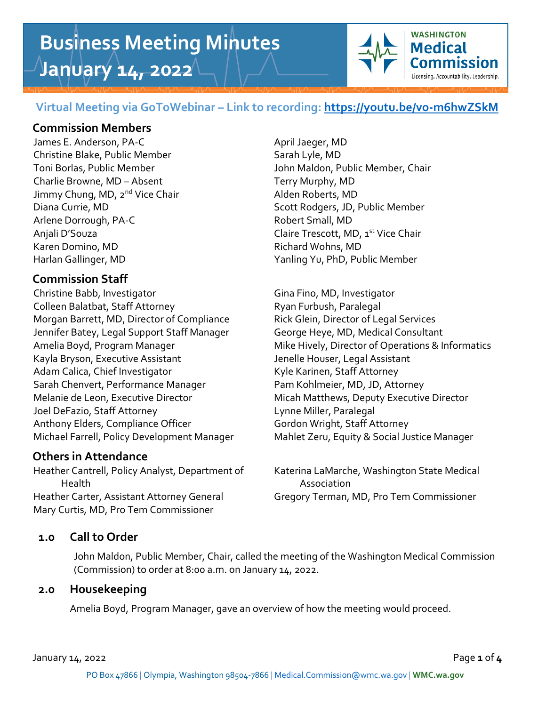# **Business Meeting Minutes January 14, 2022**



# **Virtual Meeting via GoToWebinar – Link to recording:<https://youtu.be/vo-m6hwZSkM>**

# **Commission Members**

James E. Anderson, PA-C April Jaeger, MD Christine Blake, Public Member Sarah Lyle, MD Charlie Browne, MD – Absent Terry Murphy, MD Jimmy Chung, MD, 2<sup>nd</sup> Vice Chair Alden Roberts, MD Arlene Dorrough, PA-C Robert Small, MD Anjali D'Souza Claire Trescott, MD, 1 st Vice Chair Karen Domino, MD **Richard Wohns, MD** Harlan Gallinger, MD Yanling Yu, PhD, Public Member

# **Commission Staff**

Christine Babb, Investigator Gina Fino, MD, Investigator Colleen Balatbat, Staff Attorney Ryan Furbush, Paralegal Morgan Barrett, MD, Director of Compliance Rick Glein, Director of Legal Services Jennifer Batey, Legal Support Staff Manager George Heye, MD, Medical Consultant Kayla Bryson, Executive Assistant Jenelle Houser, Legal Assistant Adam Calica, Chief Investigator Kyle Karinen, Staff Attorney Sarah Chenvert, Performance Manager Pam Kohlmeier, MD, JD, Attorney Melanie de Leon, Executive Director Micah Matthews, Deputy Executive Director Joel DeFazio, Staff Attorney Lynne Miller, Paralegal Anthony Elders, Compliance Officer Gordon Wright, Staff Attorney Michael Farrell, Policy Development Manager Mahlet Zeru, Equity & Social Justice Manager

## **Others in Attendance**

 Health Association Heather Carter, Assistant Attorney General Gregory Terman, MD, Pro Tem Commissioner Mary Curtis, MD, Pro Tem Commissioner

Toni Borlas, Public Member John Maldon, Public Member, Chair Diana Currie, MD Scott Rodgers, JD, Public Member

Amelia Boyd, Program Manager **Mike Hively, Director of Operations & Informatics** 

Heather Cantrell, Policy Analyst, Department of Katerina LaMarche, Washington State Medical

## **1.0 Call to Order**

John Maldon, Public Member, Chair, called the meeting of the Washington Medical Commission (Commission) to order at 8:00 a.m. on January 14, 2022.

# **2.0 Housekeeping**

Amelia Boyd, Program Manager, gave an overview of how the meeting would proceed.

January 14, 2022 Page **1** of **4**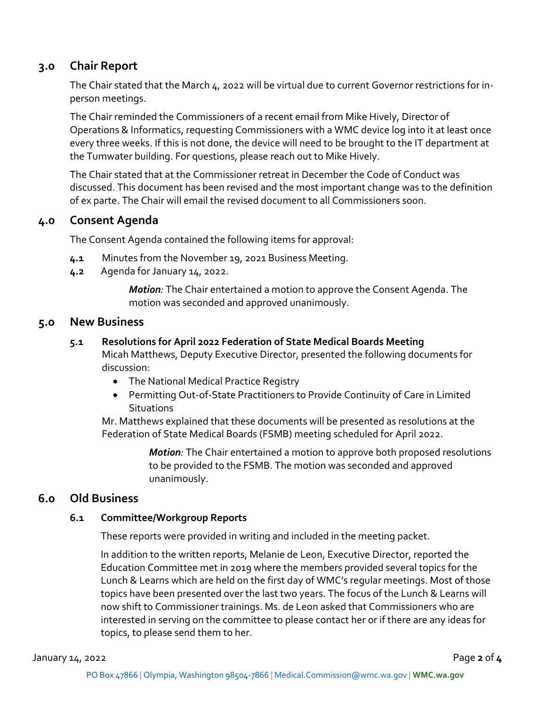# **3.0 Chair Report**

The Chair stated that the March 4, 2022 will be virtual due to current Governor restrictions for inperson meetings.

The Chair reminded the Commissioners of a recent email from Mike Hively, Director of Operations & Informatics, requesting Commissioners with a WMC device log into it at least once every three weeks. If this is not done, the device will need to be brought to the IT department at the Tumwater building. For questions, please reach out to Mike Hively.

The Chair stated that at the Commissioner retreat in December the Code of Conduct was discussed. This document has been revised and the most important change was to the definition of ex parte. The Chair will email the revised document to all Commissioners soon.

## **4.0 Consent Agenda**

The Consent Agenda contained the following items for approval:

- **4.1** Minutes from the November 19, 2021 Business Meeting.
- **4.2** Agenda for January 14, 2022.

*Motion:* The Chair entertained a motion to approve the Consent Agenda. The motion was seconded and approved unanimously.

#### **5.0 New Business**

#### **5.1 Resolutions for April 2022 Federation of State Medical Boards Meeting**

Micah Matthews, Deputy Executive Director, presented the following documents for discussion:

- The National Medical Practice Registry
- Permitting Out-of-State Practitioners to Provide Continuity of Care in Limited **Situations**

Mr. Matthews explained that these documents will be presented as resolutions at the Federation of State Medical Boards (FSMB) meeting scheduled for April 2022.

> *Motion:* The Chair entertained a motion to approve both proposed resolutions to be provided to the FSMB. The motion was seconded and approved unanimously.

## **6.0 Old Business**

#### **6.1 Committee/Workgroup Reports**

These reports were provided in writing and included in the meeting packet.

In addition to the written reports, Melanie de Leon, Executive Director, reported the Education Committee met in 2019 where the members provided several topics for the Lunch & Learns which are held on the first day of WMC's regular meetings. Most of those topics have been presented over the last two years. The focus of the Lunch & Learns will now shift to Commissioner trainings. Ms. de Leon asked that Commissioners who are interested in serving on the committee to please contact her or if there are any ideas for topics, to please send them to her.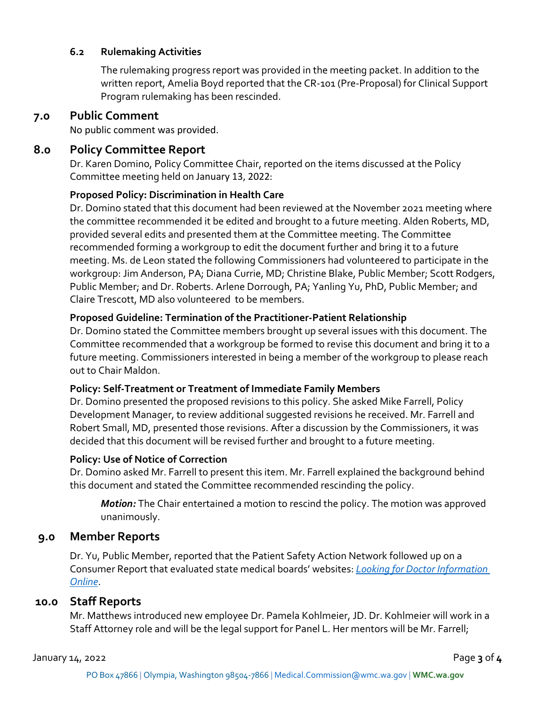#### **6.2 Rulemaking Activities**

The rulemaking progress report was provided in the meeting packet. In addition to the written report, Amelia Boyd reported that the CR-101 (Pre-Proposal) for Clinical Support Program rulemaking has been rescinded.

### **7.0 Public Comment**

No public comment was provided.

## **8.0 Policy Committee Report**

Dr. Karen Domino, Policy Committee Chair, reported on the items discussed at the Policy Committee meeting held on January 13, 2022:

#### **Proposed Policy: Discrimination in Health Care**

Dr. Domino stated that this document had been reviewed at the November 2021 meeting where the committee recommended it be edited and brought to a future meeting. Alden Roberts, MD, provided several edits and presented them at the Committee meeting. The Committee recommended forming a workgroup to edit the document further and bring it to a future meeting. Ms. de Leon stated the following Commissioners had volunteered to participate in the workgroup: Jim Anderson, PA; Diana Currie, MD; Christine Blake, Public Member; Scott Rodgers, Public Member; and Dr. Roberts. Arlene Dorrough, PA; Yanling Yu, PhD, Public Member; and Claire Trescott, MD also volunteered to be members.

#### **Proposed Guideline: Termination of the Practitioner-Patient Relationship**

Dr. Domino stated the Committee members brought up several issues with this document. The Committee recommended that a workgroup be formed to revise this document and bring it to a future meeting. Commissioners interested in being a member of the workgroup to please reach out to Chair Maldon.

#### **Policy: Self-Treatment or Treatment of Immediate Family Members**

Dr. Domino presented the proposed revisions to this policy. She asked Mike Farrell, Policy Development Manager, to review additional suggested revisions he received. Mr. Farrell and Robert Small, MD, presented those revisions. After a discussion by the Commissioners, it was decided that this document will be revised further and brought to a future meeting.

#### **Policy: Use of Notice of Correction**

Dr. Domino asked Mr. Farrell to present this item. Mr. Farrell explained the background behind this document and stated the Committee recommended rescinding the policy.

*Motion:* The Chair entertained a motion to rescind the policy. The motion was approved unanimously.

## **9.0 Member Reports**

Dr. Yu, Public Member, reported that the Patient Safety Action Network followed up on a Consumer Report that evaluated state medical boards' websites: *[Looking for Doctor Information](https://www.informedpatientinstitute.org/pdf/LookingForDoctorInformationOnline%20-%20Jan2022.pdf)  [Online](https://www.informedpatientinstitute.org/pdf/LookingForDoctorInformationOnline%20-%20Jan2022.pdf)*.

## **10.0 Staff Reports**

Mr. Matthews introduced new employee Dr. Pamela Kohlmeier, JD. Dr. Kohlmeier will work in a Staff Attorney role and will be the legal support for Panel L. Her mentors will be Mr. Farrell;